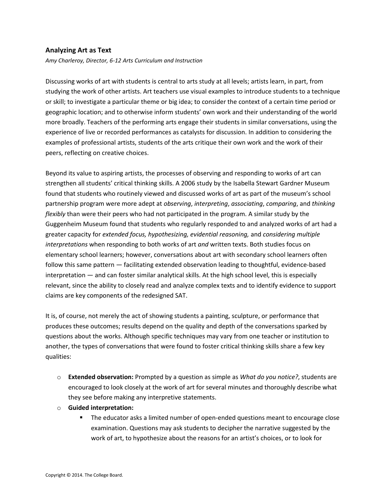## **Analyzing Art as Text**

*Amy Charleroy, Director, 6-12 Arts Curriculum and Instruction*

Discussing works of art with students is central to arts study at all levels; artists learn, in part, from studying the work of other artists. Art teachers use visual examples to introduce students to a technique or skill; to investigate a particular theme or big idea; to consider the context of a certain time period or geographic location; and to otherwise inform students' own work and their understanding of the world more broadly. Teachers of the performing arts engage their students in similar conversations, using the experience of live or recorded performances as catalysts for discussion. In addition to considering the examples of professional artists, students of the arts critique their own work and the work of their peers, reflecting on creative choices.

Beyond its value to aspiring artists, the processes of observing and responding to works of art can strengthen all students' critical thinking skills. A 2006 study by the Isabella Stewart Gardner Museum found that students who routinely viewed and discussed works of art as part of the museum's school partnership program were more adept at *observing*, *interpreting*, *associating*, *comparing*, and *thinking flexibly* than were their peers who had not participated in the program. A similar study by the Guggenheim Museum found that students who regularly responded to and analyzed works of art had a greater capacity for *extended focus, hypothesizing, evidential reasoning,* and *considering multiple interpretations* when responding to both works of art *and* written texts. Both studies focus on elementary school learners; however, conversations about art with secondary school learners often follow this same pattern — facilitating extended observation leading to thoughtful, evidence-based interpretation — and can foster similar analytical skills. At the high school level, this is especially relevant, since the ability to closely read and analyze complex texts and to identify evidence to support claims are key components of the redesigned SAT.

It is, of course, not merely the act of showing students a painting, sculpture, or performance that produces these outcomes; results depend on the quality and depth of the conversations sparked by questions about the works. Although specific techniques may vary from one teacher or institution to another, the types of conversations that were found to foster critical thinking skills share a few key qualities:

- o **Extended observation:** Prompted by a question as simple as *What do you notice?*, students are encouraged to look closely at the work of art for several minutes and thoroughly describe what they see before making any interpretive statements.
- o **Guided interpretation:**
	- The educator asks a limited number of open-ended questions meant to encourage close examination. Questions may ask students to decipher the narrative suggested by the work of art, to hypothesize about the reasons for an artist's choices, or to look for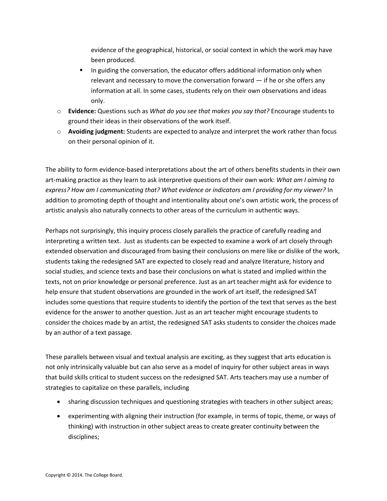evidence of the geographical, historical, or social context in which the work may have been produced.

- In guiding the conversation, the educator offers additional information only when relevant and necessary to move the conversation forward  $-$  if he or she offers any information at all. In some cases, students rely on their own observations and ideas only.
- o **Evidence:** Questions such as *What do you see that makes you say that?* Encourage students to ground their ideas in their observations of the work itself.
- o **Avoiding judgment:** Students are expected to analyze and interpret the work rather than focus on their personal opinion of it.

The ability to form evidence-based interpretations about the art of others benefits students in their own art-making practice as they learn to ask interpretive questions of their own work: *What am I aiming to express? How am I communicating that? What evidence or indicators am I providing for my viewer?* In addition to promoting depth of thought and intentionality about one's own artistic work, the process of artistic analysis also naturally connects to other areas of the curriculum in authentic ways.

Perhaps not surprisingly, this inquiry process closely parallels the practice of carefully reading and interpreting a written text. Just as students can be expected to examine a work of art closely through extended observation and discouraged from basing their conclusions on mere like or dislike of the work, students taking the redesigned SAT are expected to closely read and analyze literature, history and social studies, and science texts and base their conclusions on what is stated and implied within the texts, not on prior knowledge or personal preference. Just as an art teacher might ask for evidence to help ensure that student observations are grounded in the work of art itself, the redesigned SAT includes some questions that require students to identify the portion of the text that serves as the best evidence for the answer to another question. Just as an art teacher might encourage students to consider the choices made by an artist, the redesigned SAT asks students to consider the choices made by an author of a text passage.

These parallels between visual and textual analysis are exciting, as they suggest that arts education is not only intrinsically valuable but can also serve as a model of inquiry for other subject areas in ways that build skills critical to student success on the redesigned SAT. Arts teachers may use a number of strategies to capitalize on these parallels, including

- sharing discussion techniques and questioning strategies with teachers in other subject areas;
- experimenting with aligning their instruction (for example, in terms of topic, theme, or ways of thinking) with instruction in other subject areas to create greater continuity between the disciplines;